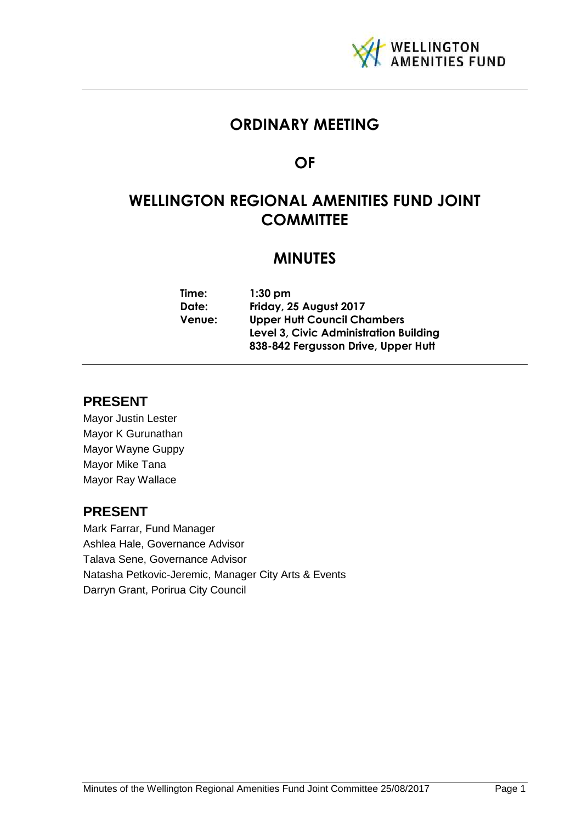

# **ORDINARY MEETING**

# **OF**

# **WELLINGTON REGIONAL AMENITIES FUND JOINT COMMITTEE**

## **MINUTES**

**Time: 1:30 pm Date: Friday, 25 August 2017 Venue: Upper Hutt Council Chambers Level 3, Civic Administration Building 838-842 Fergusson Drive, Upper Hutt**

## **PRESENT**

Mayor Justin Lester Mayor K Gurunathan Mayor Wayne Guppy Mayor Mike Tana Mayor Ray Wallace

## **PRESENT**

Mark Farrar, Fund Manager Ashlea Hale, Governance Advisor Talava Sene, Governance Advisor Natasha Petkovic-Jeremic, Manager City Arts & Events Darryn Grant, Porirua City Council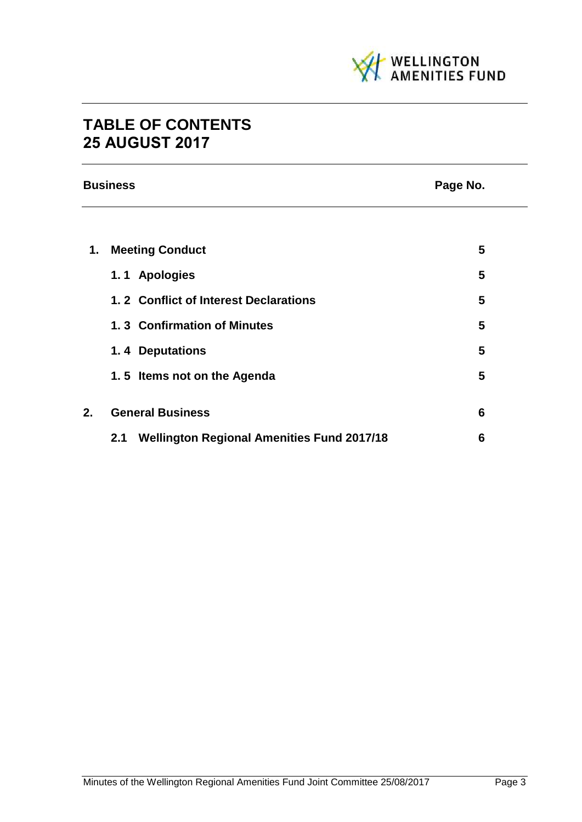

# **TABLE OF CONTENTS 25 AUGUST 2017**

|    | <b>Business</b>                                          | Page No. |  |
|----|----------------------------------------------------------|----------|--|
|    |                                                          |          |  |
| 1. | <b>Meeting Conduct</b>                                   | 5        |  |
|    | 1.1 Apologies                                            | 5        |  |
|    | 1.2 Conflict of Interest Declarations                    | 5        |  |
|    | 1.3 Confirmation of Minutes                              | 5        |  |
|    | 1.4 Deputations                                          | 5        |  |
|    | 1.5 Items not on the Agenda                              | 5        |  |
| 2. | <b>General Business</b>                                  | 6        |  |
|    | <b>Wellington Regional Amenities Fund 2017/18</b><br>2.1 | 6        |  |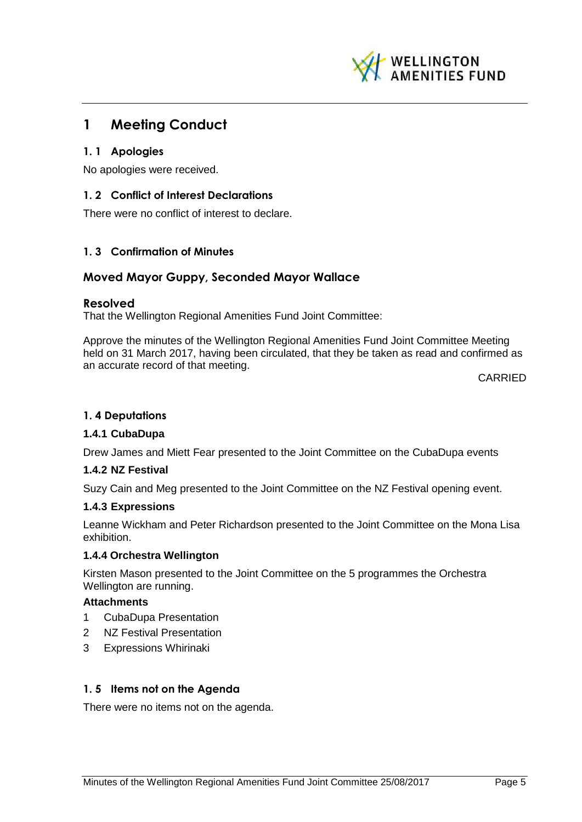

## <span id="page-4-0"></span>**1 Meeting Conduct**

### <span id="page-4-1"></span>**1. 1 Apologies**

No apologies were received.

### <span id="page-4-2"></span>**1. 2 Conflict of Interest Declarations**

There were no conflict of interest to declare.

### <span id="page-4-3"></span>**1. 3 Confirmation of Minutes**

### **Moved Mayor Guppy, Seconded Mayor Wallace**

### **Resolved**

That the Wellington Regional Amenities Fund Joint Committee:

Approve the minutes of the Wellington Regional Amenities Fund Joint Committee Meeting held on 31 March 2017, having been circulated, that they be taken as read and confirmed as an accurate record of that meeting.

CARRIED

### <span id="page-4-5"></span>**1. 4 Deputations**

### **1.4.1 CubaDupa**

Drew James and Miett Fear presented to the Joint Committee on the CubaDupa events

#### **1.4.2 NZ Festival**

Suzy Cain and Meg presented to the Joint Committee on the NZ Festival opening event.

#### **1.4.3 Expressions**

Leanne Wickham and Peter Richardson presented to the Joint Committee on the Mona Lisa exhibition.

#### **1.4.4 Orchestra Wellington**

Kirsten Mason presented to the Joint Committee on the 5 programmes the Orchestra Wellington are running.

#### **Attachments**

- 1 CubaDupa Presentation
- 2 NZ Festival Presentation
- 3 Expressions Whirinaki

### <span id="page-4-4"></span>**1. 5 Items not on the Agenda**

There were no items not on the agenda.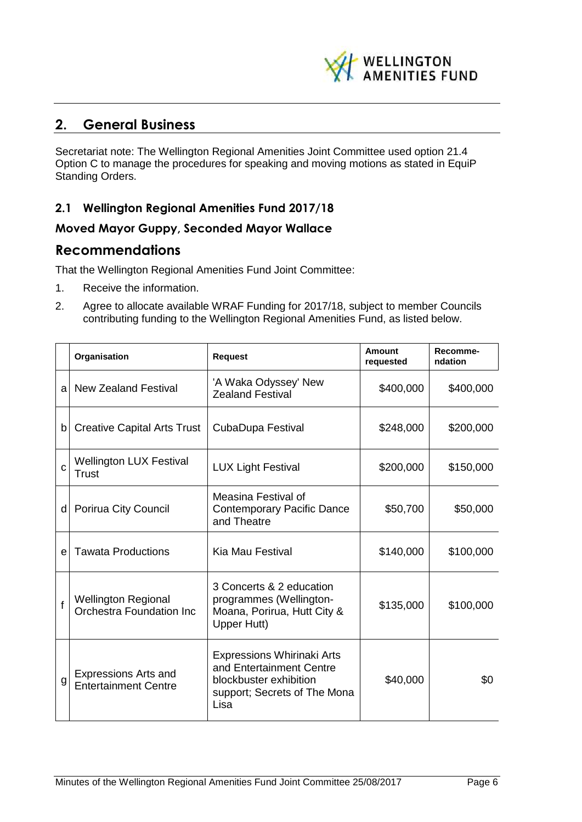

## <span id="page-5-0"></span>**2. General Business**

Secretariat note: The Wellington Regional Amenities Joint Committee used option 21.4 Option C to manage the procedures for speaking and moving motions as stated in EquiP Standing Orders.

## <span id="page-5-1"></span>**2.1 Wellington Regional Amenities Fund 2017/18**

### **Moved Mayor Guppy, Seconded Mayor Wallace**

## **Recommendations**

That the Wellington Regional Amenities Fund Joint Committee:

- 1. Receive the information.
- 2. Agree to allocate available WRAF Funding for 2017/18, subject to member Councils contributing funding to the Wellington Regional Amenities Fund, as listed below.

|   | Organisation                                                  | <b>Request</b>                                                                                                                  | Amount<br>requested | Recomme-<br>ndation |
|---|---------------------------------------------------------------|---------------------------------------------------------------------------------------------------------------------------------|---------------------|---------------------|
|   | al New Zealand Festival                                       | 'A Waka Odyssey' New<br><b>Zealand Festival</b>                                                                                 | \$400,000           | \$400,000           |
|   | b Creative Capital Arts Trust                                 | CubaDupa Festival                                                                                                               | \$248,000           | \$200,000           |
| C | <b>Wellington LUX Festival</b><br>Trust                       | <b>LUX Light Festival</b>                                                                                                       | \$200,000           | \$150,000           |
|   | d Porirua City Council                                        | Measina Festival of<br><b>Contemporary Pacific Dance</b><br>and Theatre                                                         | \$50,700            | \$50,000            |
| e | <b>Tawata Productions</b>                                     | Kia Mau Festival                                                                                                                | \$140,000           | \$100,000           |
| f | <b>Wellington Regional</b><br><b>Orchestra Foundation Inc</b> | 3 Concerts & 2 education<br>programmes (Wellington-<br>Moana, Porirua, Hutt City &<br>Upper Hutt)                               | \$135,000           | \$100,000           |
| g | <b>Expressions Arts and</b><br><b>Entertainment Centre</b>    | <b>Expressions Whirinaki Arts</b><br>and Entertainment Centre<br>blockbuster exhibition<br>support; Secrets of The Mona<br>Lisa | \$40,000            | \$0                 |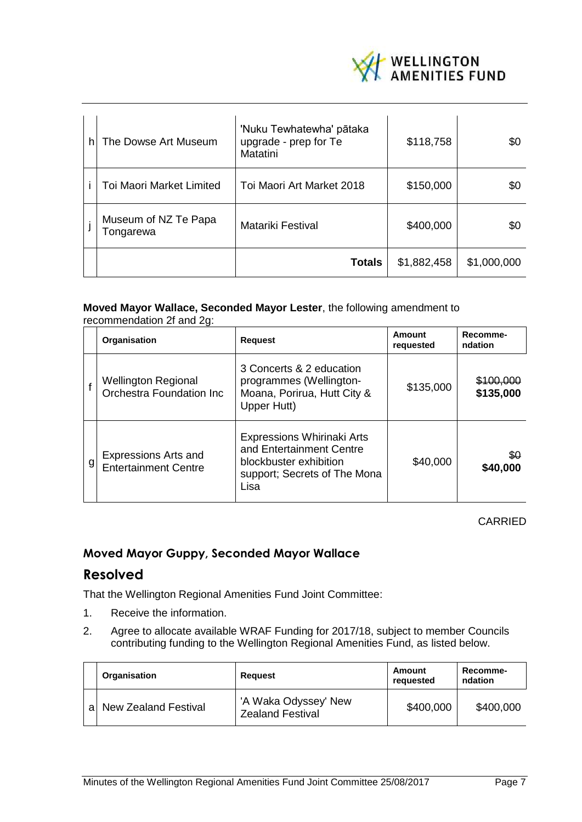

| h | The Dowse Art Museum              | 'Nuku Tewhatewha' pātaka<br>upgrade - prep for Te<br>Matatini | \$118,758   | \$0         |
|---|-----------------------------------|---------------------------------------------------------------|-------------|-------------|
|   | Toi Maori Market Limited          | Toi Maori Art Market 2018                                     | \$150,000   | \$0         |
|   | Museum of NZ Te Papa<br>Tongarewa | Matariki Festival                                             | \$400,000   | \$0         |
|   |                                   | <b>Totals</b>                                                 | \$1,882,458 | \$1,000,000 |

#### **Moved Mayor Wallace, Seconded Mayor Lester**, the following amendment to recommendation 2f and 2g:

|   | Organisation                                           | <b>Request</b>                                                                                                           | Amount<br>requested | Recomme-<br>ndation    |
|---|--------------------------------------------------------|--------------------------------------------------------------------------------------------------------------------------|---------------------|------------------------|
|   | <b>Wellington Regional</b><br>Orchestra Foundation Inc | 3 Concerts & 2 education<br>programmes (Wellington-<br>Moana, Porirua, Hutt City &<br>Upper Hutt)                        | \$135,000           | \$100,000<br>\$135,000 |
| g | Expressions Arts and<br><b>Entertainment Centre</b>    | Expressions Whirinaki Arts<br>and Entertainment Centre<br>blockbuster exhibition<br>support; Secrets of The Mona<br>Lisa | \$40,000            | \$0<br>\$40,000        |

CARRIED

## **Moved Mayor Guppy, Seconded Mayor Wallace**

## **Resolved**

That the Wellington Regional Amenities Fund Joint Committee:

- 1. Receive the information.
- 2. Agree to allocate available WRAF Funding for 2017/18, subject to member Councils contributing funding to the Wellington Regional Amenities Fund, as listed below.

|    | Organisation         | <b>Request</b>                                  | Amount<br>requested | Recomme-<br>ndation |
|----|----------------------|-------------------------------------------------|---------------------|---------------------|
| al | New Zealand Festival | 'A Waka Odyssey' New<br><b>Zealand Festival</b> | \$400,000           | \$400,000           |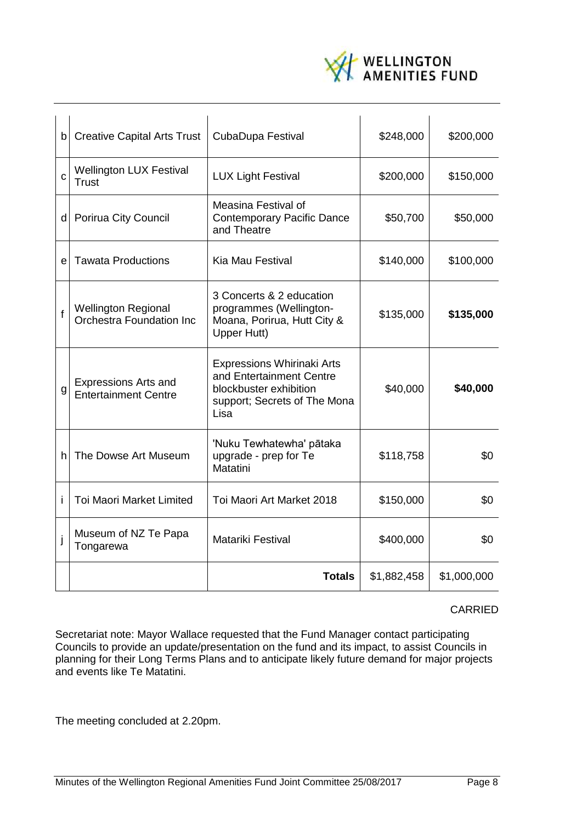

|    | b Creative Capital Arts Trust                              | CubaDupa Festival                                                                                                               | \$248,000   | \$200,000   |
|----|------------------------------------------------------------|---------------------------------------------------------------------------------------------------------------------------------|-------------|-------------|
| C  | <b>Wellington LUX Festival</b><br><b>Trust</b>             | <b>LUX Light Festival</b>                                                                                                       | \$200,000   | \$150,000   |
|    | d Porirua City Council                                     | Measina Festival of<br><b>Contemporary Pacific Dance</b><br>and Theatre                                                         | \$50,700    | \$50,000    |
| e  | <b>Tawata Productions</b>                                  | Kia Mau Festival                                                                                                                | \$140,000   | \$100,000   |
| f  | <b>Wellington Regional</b><br>Orchestra Foundation Inc     | 3 Concerts & 2 education<br>programmes (Wellington-<br>Moana, Porirua, Hutt City &<br>Upper Hutt)                               | \$135,000   | \$135,000   |
| g  | <b>Expressions Arts and</b><br><b>Entertainment Centre</b> | <b>Expressions Whirinaki Arts</b><br>and Entertainment Centre<br>blockbuster exhibition<br>support; Secrets of The Mona<br>Lisa | \$40,000    | \$40,000    |
| h. | The Dowse Art Museum                                       | 'Nuku Tewhatewha' pātaka<br>upgrade - prep for Te<br>Matatini                                                                   | \$118,758   | \$0         |
| i. | <b>Toi Maori Market Limited</b>                            | Toi Maori Art Market 2018                                                                                                       | \$150,000   | \$0         |
| j  | Museum of NZ Te Papa<br>Tongarewa                          | Matariki Festival                                                                                                               | \$400,000   | \$0         |
|    |                                                            | <b>Totals</b>                                                                                                                   | \$1,882,458 | \$1,000,000 |

#### CARRIED

Secretariat note: Mayor Wallace requested that the Fund Manager contact participating Councils to provide an update/presentation on the fund and its impact, to assist Councils in planning for their Long Terms Plans and to anticipate likely future demand for major projects and events like Te Matatini.

The meeting concluded at 2.20pm.